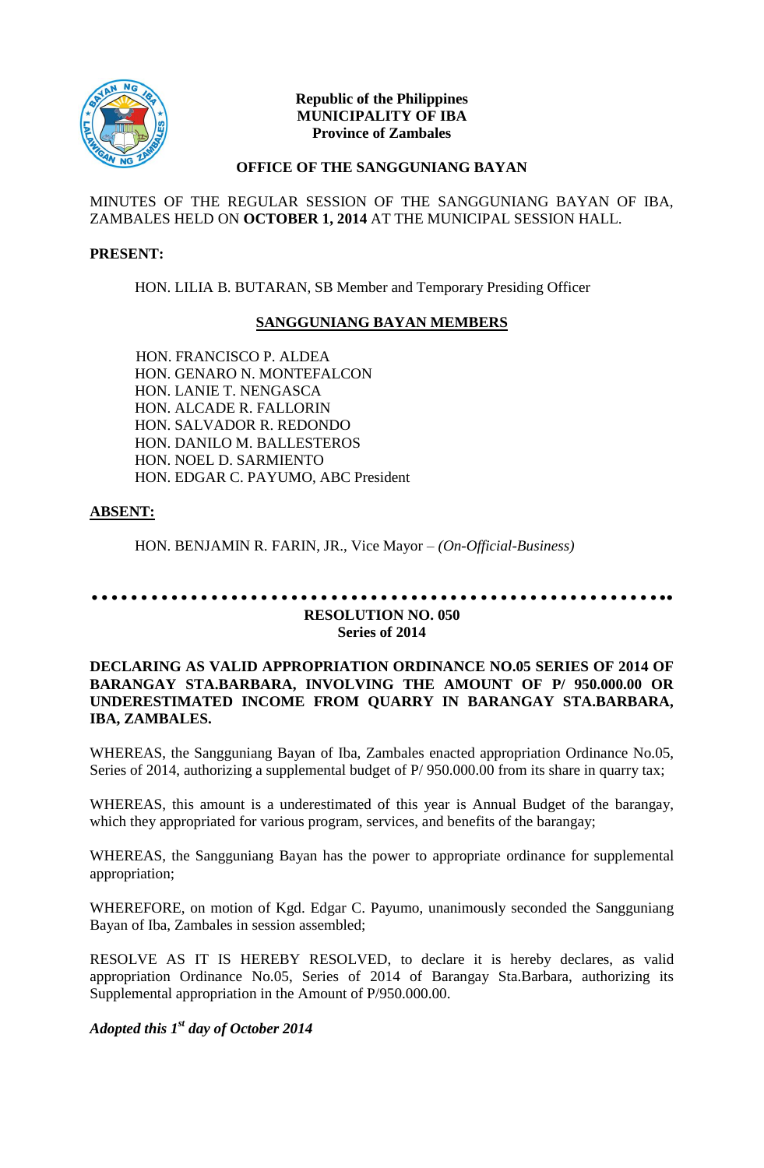

## **Republic of the Philippines MUNICIPALITY OF IBA Province of Zambales**

## **OFFICE OF THE SANGGUNIANG BAYAN**

MINUTES OF THE REGULAR SESSION OF THE SANGGUNIANG BAYAN OF IBA, ZAMBALES HELD ON **OCTOBER 1, 2014** AT THE MUNICIPAL SESSION HALL.

#### **PRESENT:**

HON. LILIA B. BUTARAN, SB Member and Temporary Presiding Officer

## **SANGGUNIANG BAYAN MEMBERS**

HON. FRANCISCO P. ALDEA HON. GENARO N. MONTEFALCON HON. LANIE T. NENGASCA HON. ALCADE R. FALLORIN HON. SALVADOR R. REDONDO HON. DANILO M. BALLESTEROS HON. NOEL D. SARMIENTO HON. EDGAR C. PAYUMO, ABC President

## **ABSENT:**

HON. BENJAMIN R. FARIN, JR., Vice Mayor *– (On-Official-Business)*

# **………………………………………………….. RESOLUTION NO. 050 Series of 2014**

## **DECLARING AS VALID APPROPRIATION ORDINANCE NO.05 SERIES OF 2014 OF BARANGAY STA.BARBARA, INVOLVING THE AMOUNT OF P/ 950.000.00 OR UNDERESTIMATED INCOME FROM QUARRY IN BARANGAY STA.BARBARA, IBA, ZAMBALES.**

WHEREAS, the Sangguniang Bayan of Iba, Zambales enacted appropriation Ordinance No.05, Series of 2014, authorizing a supplemental budget of  $P/ 950.000.00$  from its share in quarry tax;

WHEREAS, this amount is a underestimated of this year is Annual Budget of the barangay, which they appropriated for various program, services, and benefits of the barangay;

WHEREAS, the Sangguniang Bayan has the power to appropriate ordinance for supplemental appropriation;

WHEREFORE, on motion of Kgd. Edgar C. Payumo, unanimously seconded the Sangguniang Bayan of Iba, Zambales in session assembled;

RESOLVE AS IT IS HEREBY RESOLVED, to declare it is hereby declares, as valid appropriation Ordinance No.05, Series of 2014 of Barangay Sta.Barbara, authorizing its Supplemental appropriation in the Amount of P/950.000.00.

## *Adopted this 1st day of October 2014*